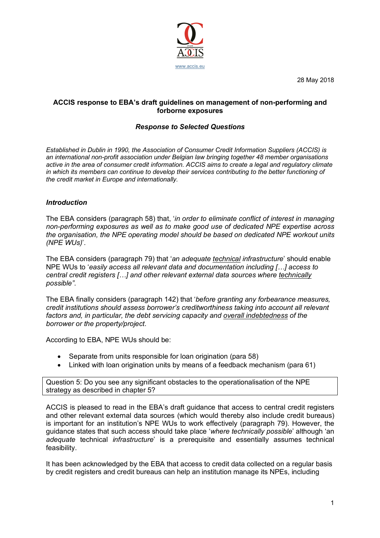

28 May 2018

## **ACCIS response to EBA's draft guidelines on management of non-performing and forborne exposures**

## *Response to Selected Questions*

*Established in Dublin in 1990, the Association of Consumer Credit Information Suppliers (ACCIS) is an international non-profit association under Belgian law bringing together 48 member organisations active in the area of consumer credit information. ACCIS aims to create a legal and regulatory climate in which its members can continue to develop their services contributing to the better functioning of the credit market in Europe and internationally.*

## *Introduction*

The EBA considers (paragraph 58) that, '*in order to eliminate conflict of interest in managing non-performing exposures as well as to make good use of dedicated NPE expertise across the organisation, the NPE operating model should be based on dedicated NPE workout units (NPE WUs)*'.

The EBA considers (paragraph 79) that '*an adequate technical infrastructure*' should enable NPE WUs to '*easily access all relevant data and documentation including […] access to central credit registers […] and other relevant external data sources where technically possible"*.

The EBA finally considers (paragraph 142) that '*before granting any forbearance measures, credit institutions should assess borrower's creditworthiness taking into account all relevant factors and, in particular, the debt servicing capacity and overall indebtedness of the borrower or the property/project*.

According to EBA, NPE WUs should be:

- Separate from units responsible for loan origination (para 58)
- Linked with loan origination units by means of a feedback mechanism (para 61)

Question 5: Do you see any significant obstacles to the operationalisation of the NPE strategy as described in chapter 5?

ACCIS is pleased to read in the EBA's draft guidance that access to central credit registers and other relevant external data sources (which would thereby also include credit bureaus) is important for an institution's NPE WUs to work effectively (paragraph 79). However, the guidance states that such access should take place '*where technically possible*' although 'an *adequate* technical *infrastructure*' is a prerequisite and essentially assumes technical feasibility.

It has been acknowledged by the EBA that access to credit data collected on a regular basis by credit registers and credit bureaus can help an institution manage its NPEs, including